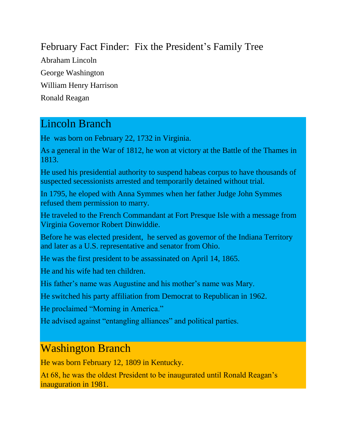### February Fact Finder: Fix the President's Family Tree

Abraham Lincoln George Washington William Henry Harrison Ronald Reagan

### Lincoln Branch

He was born on February 22, 1732 in Virginia.

As a general in the War of 1812, he won at victory at the Battle of the Thames in 1813.

He used his presidential authority to suspend habeas corpus to have thousands of suspected secessionists arrested and temporarily detained without trial.

In 1795, he eloped with Anna Symmes when her father Judge John Symmes refused them permission to marry.

He traveled to the French Commandant at Fort Presque Isle with a message from Virginia Governor Robert Dinwiddie.

Before he was elected president, he served as governor of the Indiana Territory and later as a U.S. representative and senator from Ohio.

He was the first president to be assassinated on April 14, 1865.

He and his wife had ten children.

His father's name was Augustine and his mother's name was Mary.

He switched his party affiliation from Democrat to Republican in 1962.

He proclaimed "Morning in America."

He advised against "entangling alliances" and political parties.

# Washington Branch

He was born February 12, 1809 in Kentucky.

At 68, he was the oldest President to be inaugurated until Ronald Reagan's inauguration in 1981.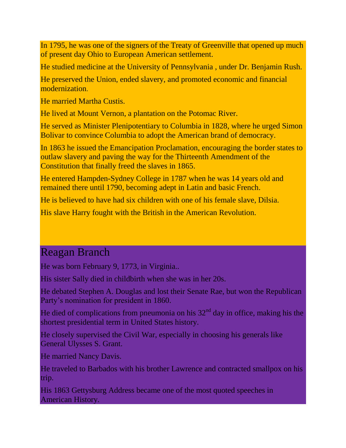In 1795, he was one of the signers of the Treaty of Greenville that opened up much of present day Ohio to European American settlement.

He studied medicine at the University of Pennsylvania , under Dr. Benjamin Rush.

He preserved the Union, ended slavery, and promoted economic and financial modernization.

He married Martha Custis.

He lived at Mount Vernon, a plantation on the Potomac River.

He served as Minister Plenipotentiary to Columbia in 1828, where he urged Simon Bolivar to convince Columbia to adopt the American brand of democracy.

In 1863 he issued the Emancipation Proclamation, encouraging the border states to outlaw slavery and paving the way for the Thirteenth Amendment of the Constitution that finally freed the slaves in 1865.

He entered Hampden-Sydney College in 1787 when he was 14 years old and remained there until 1790, becoming adept in Latin and basic French.

He is believed to have had six children with one of his female slave, Dilsia.

His slave Harry fought with the British in the American Revolution.

# Reagan Branch

He was born February 9, 1773, in Virginia..

His sister Sally died in childbirth when she was in her 20s.

He debated Stephen A. Douglas and lost their Senate Rae, but won the Republican Party's nomination for president in 1860.

He died of complications from pneumonia on his  $32<sup>nd</sup>$  day in office, making his the shortest presidential term in United States history.

He closely supervised the Civil War, especially in choosing his generals like General Ulysses S. Grant.

He married Nancy Davis.

He traveled to Barbados with his brother Lawrence and contracted smallpox on his trip.

His 1863 Gettysburg Address became one of the most quoted speeches in American History.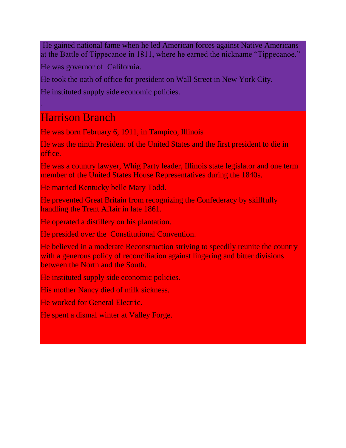He gained national fame when he led American forces against Native Americans at the Battle of Tippecanoe in 1811, where he earned the nickname "Tippecanoe."

He was governor of California.

He took the oath of office for president on Wall Street in New York City.

He instituted supply side economic policies.

# Harrison Branch

.

He was born February 6, 1911, in Tampico, Illinois

He was the ninth President of the United States and the first president to die in office.

He was a country lawyer, Whig Party leader, Illinois state legislator and one term member of the United States House Representatives during the 1840s.

He married Kentucky belle Mary Todd.

He prevented Great Britain from recognizing the Confederacy by skillfully handling the Trent Affair in late 1861.

He operated a distillery on his plantation.

He presided over the Constitutional Convention.

He believed in a moderate Reconstruction striving to speedily reunite the country with a generous policy of reconciliation against lingering and bitter divisions between the North and the South.

He instituted supply side economic policies.

His mother Nancy died of milk sickness.

He worked for General Electric.

He spent a dismal winter at Valley Forge.